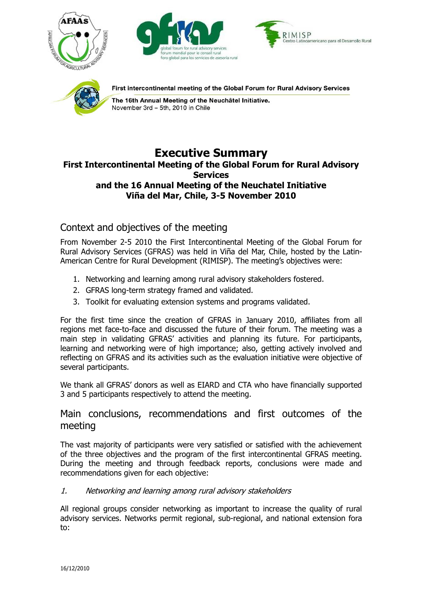







First intercontinental meeting of the Global Forum for Rural Advisory Services

The 16th Annual Meeting of the Neuchâtel Initiative. November 3rd - 5th, 2010 in Chile

## **Executive Summary First Intercontinental Meeting of the Global Forum for Rural Advisory Services and the 16 Annual Meeting of the Neuchatel Initiative Viña del Mar, Chile, 3-5 November 2010**

# Context and objectives of the meeting

From November 2-5 2010 the First Intercontinental Meeting of the Global Forum for Rural Advisory Services (GFRAS) was held in Viña del Mar, Chile, hosted by the Latin-American Centre for Rural Development (RIMISP). The meeting's objectives were:

- 1. Networking and learning among rural advisory stakeholders fostered.
- 2. GFRAS long-term strategy framed and validated.
- 3. Toolkit for evaluating extension systems and programs validated.

For the first time since the creation of GFRAS in January 2010, affiliates from all regions met face-to-face and discussed the future of their forum. The meeting was a main step in validating GFRAS' activities and planning its future. For participants, learning and networking were of high importance; also, getting actively involved and reflecting on GFRAS and its activities such as the evaluation initiative were objective of several participants.

We thank all GFRAS' donors as well as EIARD and CTA who have financially supported 3 and 5 participants respectively to attend the meeting.

## Main conclusions, recommendations and first outcomes of the meeting

The vast majority of participants were very satisfied or satisfied with the achievement of the three objectives and the program of the first intercontinental GFRAS meeting. During the meeting and through feedback reports, conclusions were made and recommendations given for each objective:

## 1. Networking and learning among rural advisory stakeholders

All regional groups consider networking as important to increase the quality of rural advisory services. Networks permit regional, sub-regional, and national extension fora to: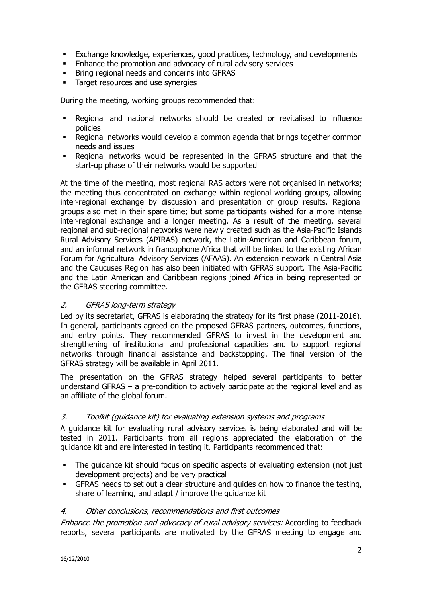- Exchange knowledge, experiences, good practices, technology, and developments
- **Enhance the promotion and advocacy of rural advisory services**
- **Bring regional needs and concerns into GFRAS**
- **Target resources and use synergies**

During the meeting, working groups recommended that:

- Regional and national networks should be created or revitalised to influence policies
- Regional networks would develop a common agenda that brings together common needs and issues
- Regional networks would be represented in the GFRAS structure and that the start-up phase of their networks would be supported

At the time of the meeting, most regional RAS actors were not organised in networks; the meeting thus concentrated on exchange within regional working groups, allowing inter-regional exchange by discussion and presentation of group results. Regional groups also met in their spare time; but some participants wished for a more intense inter-regional exchange and a longer meeting. As a result of the meeting, several regional and sub-regional networks were newly created such as the Asia-Pacific Islands Rural Advisory Services (APIRAS) network, the Latin-American and Caribbean forum, and an informal network in francophone Africa that will be linked to the existing African Forum for Agricultural Advisory Services (AFAAS). An extension network in Central Asia and the Caucuses Region has also been initiated with GFRAS support. The Asia-Pacific and the Latin American and Caribbean regions joined Africa in being represented on the GFRAS steering committee.

## 2. GFRAS long-term strategy

Led by its secretariat, GFRAS is elaborating the strategy for its first phase (2011-2016). In general, participants agreed on the proposed GFRAS partners, outcomes, functions, and entry points. They recommended GFRAS to invest in the development and strengthening of institutional and professional capacities and to support regional networks through financial assistance and backstopping. The final version of the GFRAS strategy will be available in April 2011.

The presentation on the GFRAS strategy helped several participants to better understand GFRAS – a pre-condition to actively participate at the regional level and as an affiliate of the global forum.

#### 3. Toolkit (guidance kit) for evaluating extension systems and programs

A guidance kit for evaluating rural advisory services is being elaborated and will be tested in 2011. Participants from all regions appreciated the elaboration of the guidance kit and are interested in testing it. Participants recommended that:

- The guidance kit should focus on specific aspects of evaluating extension (not just development projects) and be very practical
- GFRAS needs to set out a clear structure and guides on how to finance the testing, share of learning, and adapt / improve the guidance kit

#### 4. Other conclusions, recommendations and first outcomes

Enhance the promotion and advocacy of rural advisory services: According to feedback reports, several participants are motivated by the GFRAS meeting to engage and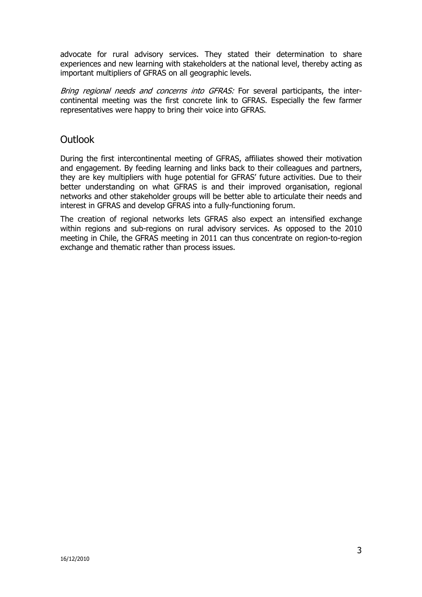advocate for rural advisory services. They stated their determination to share experiences and new learning with stakeholders at the national level, thereby acting as important multipliers of GFRAS on all geographic levels.

Bring regional needs and concerns into GFRAS: For several participants, the intercontinental meeting was the first concrete link to GFRAS. Especially the few farmer representatives were happy to bring their voice into GFRAS.

## **Outlook**

During the first intercontinental meeting of GFRAS, affiliates showed their motivation and engagement. By feeding learning and links back to their colleagues and partners, they are key multipliers with huge potential for GFRAS' future activities. Due to their better understanding on what GFRAS is and their improved organisation, regional networks and other stakeholder groups will be better able to articulate their needs and interest in GFRAS and develop GFRAS into a fully-functioning forum.

The creation of regional networks lets GFRAS also expect an intensified exchange within regions and sub-regions on rural advisory services. As opposed to the 2010 meeting in Chile, the GFRAS meeting in 2011 can thus concentrate on region-to-region exchange and thematic rather than process issues.